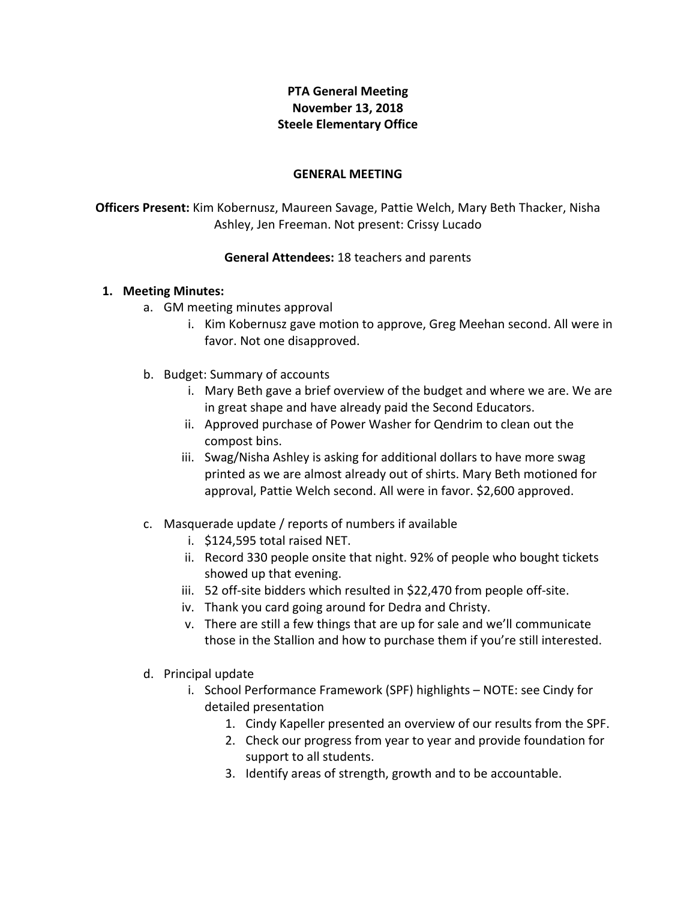## **PTA General Meeting November 13, 2018 Steele Elementary Office**

## **GENERAL MEETING**

**Officers Present:** Kim Kobernusz, Maureen Savage, Pattie Welch, Mary Beth Thacker, Nisha Ashley, Jen Freeman. Not present: Crissy Lucado

## **General Attendees: 18 teachers and parents**

## **1. Meeting Minutes:**

- a. GM meeting minutes approval
	- i. Kim Kobernusz gave motion to approve, Greg Meehan second. All were in favor. Not one disapproved.
- b. Budget: Summary of accounts
	- i. Mary Beth gave a brief overview of the budget and where we are. We are in great shape and have already paid the Second Educators.
	- ii. Approved purchase of Power Washer for Qendrim to clean out the compost bins.
	- iii. Swag/Nisha Ashley is asking for additional dollars to have more swag printed as we are almost already out of shirts. Mary Beth motioned for approval, Pattie Welch second. All were in favor. \$2,600 approved.
- c. Masquerade update / reports of numbers if available
	- i. \$124,595 total raised NET.
	- ii. Record 330 people onsite that night. 92% of people who bought tickets showed up that evening.
	- iii. 52 off-site bidders which resulted in \$22,470 from people off-site.
	- iv. Thank you card going around for Dedra and Christy.
	- v. There are still a few things that are up for sale and we'll communicate those in the Stallion and how to purchase them if you're still interested.
- d. Principal update
	- i. School Performance Framework (SPF) highlights NOTE: see Cindy for detailed presentation
		- 1. Cindy Kapeller presented an overview of our results from the SPF.
		- 2. Check our progress from year to year and provide foundation for support to all students.
		- 3. Identify areas of strength, growth and to be accountable.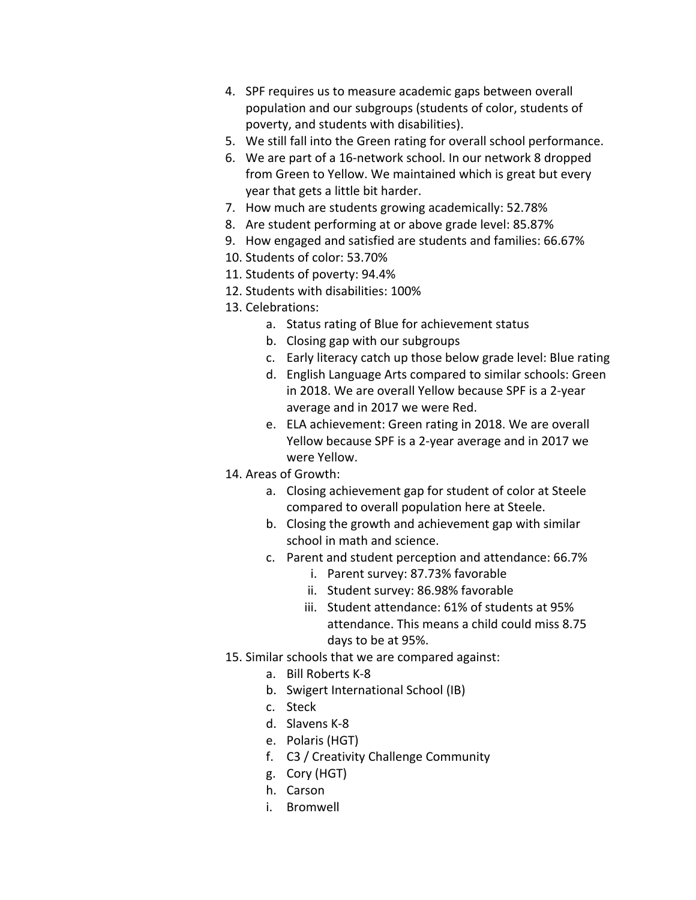- 4. SPF requires us to measure academic gaps between overall population and our subgroups (students of color, students of poverty, and students with disabilities).
- 5. We still fall into the Green rating for overall school performance.
- 6. We are part of a 16-network school. In our network 8 dropped from Green to Yellow. We maintained which is great but every year that gets a little bit harder.
- 7. How much are students growing academically: 52.78%
- 8. Are student performing at or above grade level: 85.87%
- 9. How engaged and satisfied are students and families: 66.67%
- 10. Students of color: 53.70%
- 11. Students of poverty: 94.4%
- 12. Students with disabilities: 100%
- 13. Celebrations:
	- a. Status rating of Blue for achievement status
	- b. Closing gap with our subgroups
	- c. Early literacy catch up those below grade level: Blue rating
	- d. English Language Arts compared to similar schools: Green in 2018. We are overall Yellow because SPF is a 2-year average and in 2017 we were Red.
	- e. ELA achievement: Green rating in 2018. We are overall Yellow because SPF is a 2-year average and in 2017 we were Yellow.
- 14. Areas of Growth:
	- a. Closing achievement gap for student of color at Steele compared to overall population here at Steele.
	- b. Closing the growth and achievement gap with similar school in math and science.
	- c. Parent and student perception and attendance: 66.7%
		- i. Parent survey: 87.73% favorable
		- ii. Student survey: 86.98% favorable
		- iii. Student attendance: 61% of students at 95% attendance. This means a child could miss 8.75 days to be at 95%.
- 15. Similar schools that we are compared against:
	- a. Bill Roberts K-8
	- b. Swigert International School (IB)
	- c. Steck
	- d. Slavens K-8
	- e. Polaris (HGT)
	- f. C3 / Creativity Challenge Community
	- g. Cory (HGT)
	- h. Carson
	- i. Bromwell